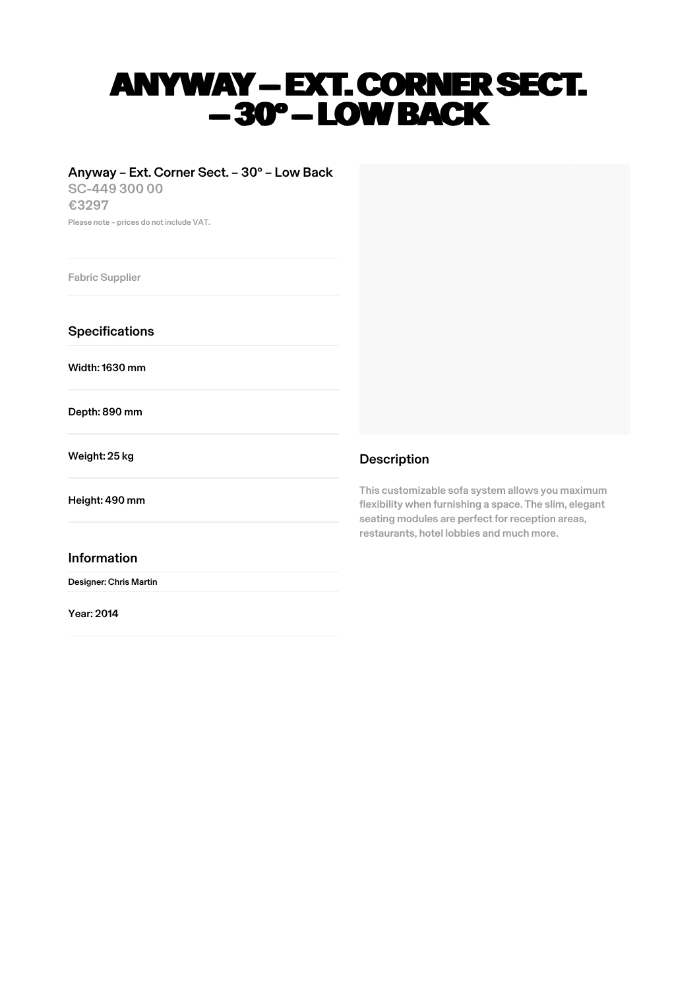# ANYWAY – EXT. CORNER SECT. –30° – LOW BACK

## Anyway – Ext. Corner Sect. – 30° – Low Back

SC-449 300 00 €3297 Please note – prices do not include VAT.

Fabric Supplier

**Specifications** 

Width:1630 mm

Depth: 890 mm

Weight: 25 kg

Height: 490 mm

### Information

Designer: Chris Martin

Year: 2014



## Description

This customizable sofa system allows you maximum flexibility when furnishing a space. The slim, elegant seating modules are perfect for reception areas, restaurants, hotel lobbies and much more.